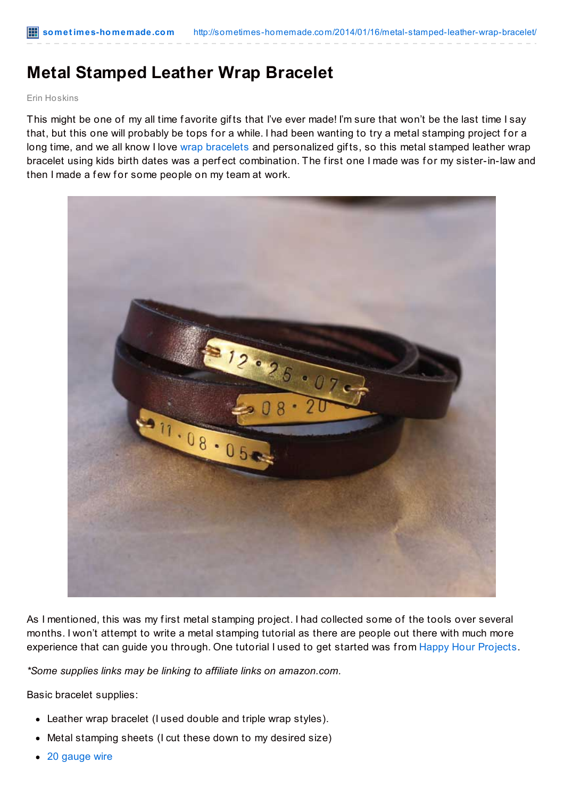## **Metal Stamped Leather Wrap Bracelet**

## Erin Hoskins

This might be one of my all time favorite gifts that I've ever made! I'm sure that won't be the last time I say that, but this one will probably be tops for a while. I had been wanting to try a metal stamping project for a long time, and we all know I love wrap [bracelets](http://sometimes-homemade.com/?s=wrap+bracelet) and personalized gifts, so this metal stamped leather wrap bracelet using kids birth dates was a perfect combination. The first one I made was for my sister-in-law and then I made a few for some people on my team at work.



As I mentioned, this was my first metal stamping project. I had collected some of the tools over several months. I won't attempt to write a metal stamping tutorial as there are people out there with much more experience that can guide you through. One tutorial I used to get started was from Happy Hour [Projects.](http://happyhourprojects.com/jewelry-stamping/)

*\*Some supplies links may be linking to affiliate links on amazon.com.*

Basic bracelet supplies:

- Leather wrap bracelet (I used double and triple wrap styles).
- Metal stamping sheets (I cut these down to my desired size)
- 20 [gauge](http://www.amazon.com/gp/product/B0032UEXX0/ref=as_li_ss_tl?ie=UTF8&camp=1789&creative=390957&creativeASIN=B0032UEXX0&linkCode=as2&tag=sometihomema-20) wire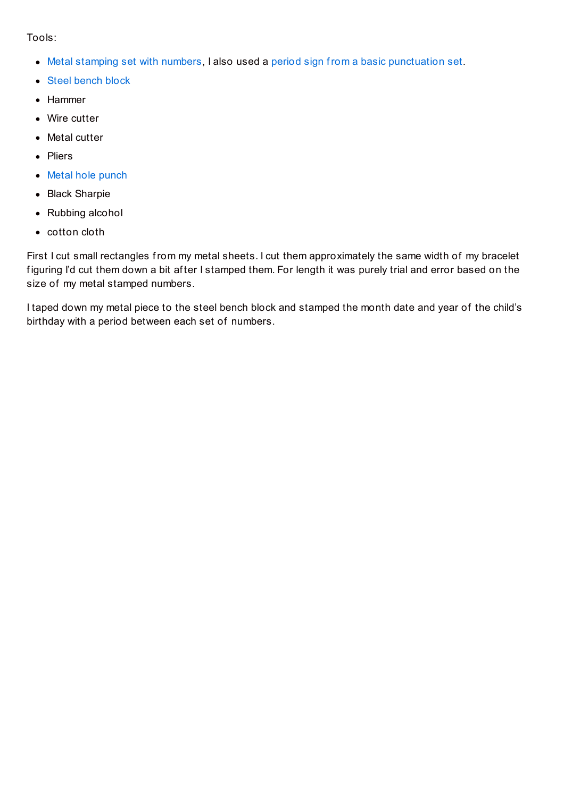## Tools:

- Metal [stamping](http://www.amazon.com/gp/product/B002TND0LW/ref=as_li_ss_tl?ie=UTF8&camp=1789&creative=390957&creativeASIN=B002TND0LW&linkCode=as2&tag=sometihomema-20) set with numbers, I also used a period sign from a basic [punctuation](http://www.amazon.com/gp/product/B00ARD3HXM/ref=as_li_ss_tl?ie=UTF8&camp=1789&creative=390957&creativeASIN=B00ARD3HXM&linkCode=as2&tag=sometihomema-20) set.
- Steel [bench](http://www.amazon.com/gp/product/B004JLX3EG/ref=as_li_ss_tl?ie=UTF8&camp=1789&creative=390957&creativeASIN=B004JLX3EG&linkCode=as2&tag=sometihomema-20) block
- Hammer
- Wire cutter
- Metal cutter
- Pliers
- Metal hole [punch](http://www.amazon.com/gp/product/B005VEEJKW/ref=as_li_ss_tl?ie=UTF8&camp=1789&creative=390957&creativeASIN=B005VEEJKW&linkCode=as2&tag=sometihomema-20)
- Black Sharpie
- Rubbing alcohol
- cotton cloth

First I cut small rectangles from my metal sheets. I cut them approximately the same width of my bracelet figuring I'd cut them down a bit after I stamped them. For length it was purely trial and error based on the size of my metal stamped numbers.

I taped down my metal piece to the steel bench block and stamped the month date and year of the child's birthday with a period between each set of numbers.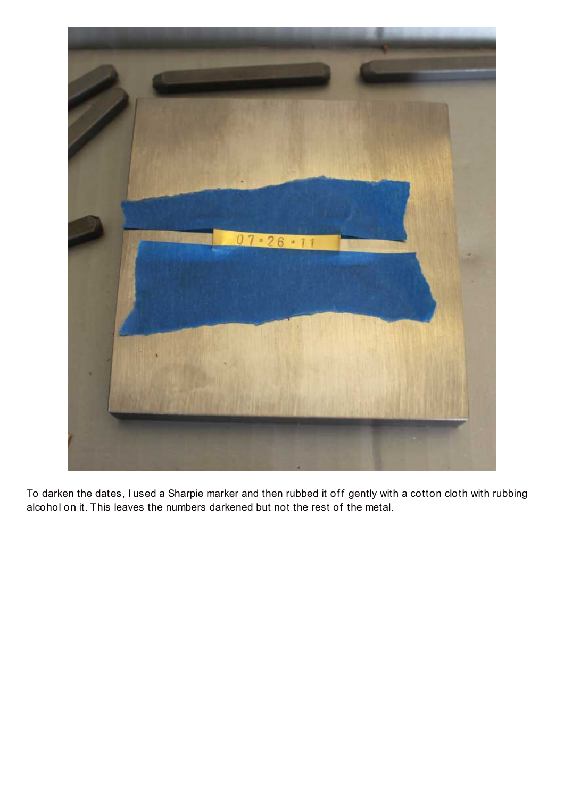

To darken the dates, I used a Sharpie marker and then rubbed it off gently with a cotton cloth with rubbing alcohol on it. This leaves the numbers darkened but not the rest of the metal.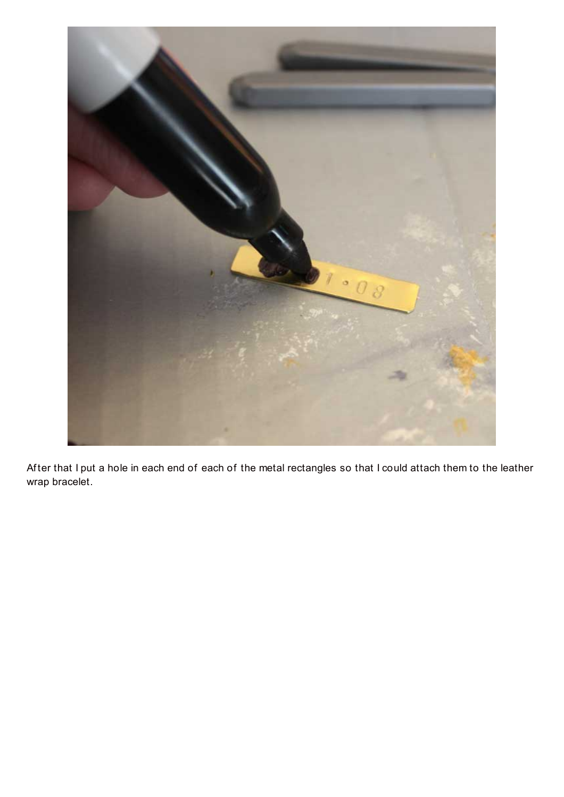

After that I put a hole in each end of each of the metal rectangles so that I could attach them to the leather wrap bracelet.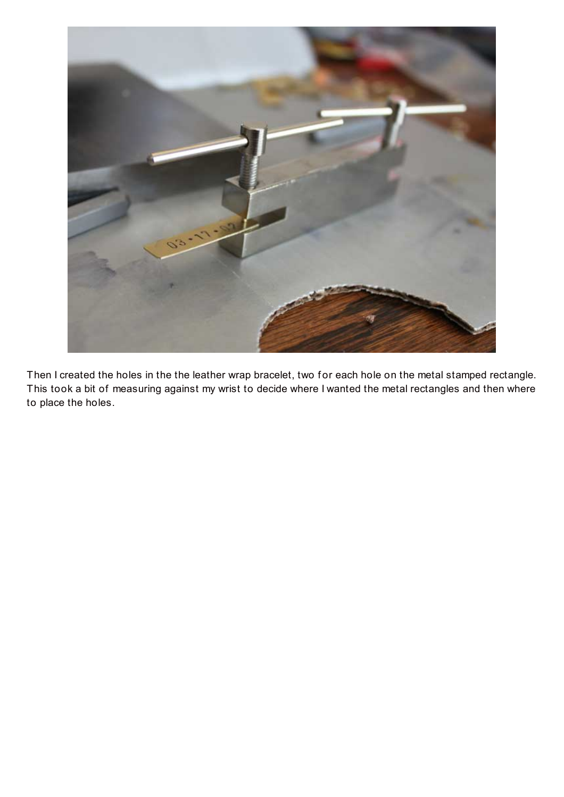

Then I created the holes in the the leather wrap bracelet, two for each hole on the metal stamped rectangle. This took a bit of measuring against my wrist to decide where I wanted the metal rectangles and then where to place the holes.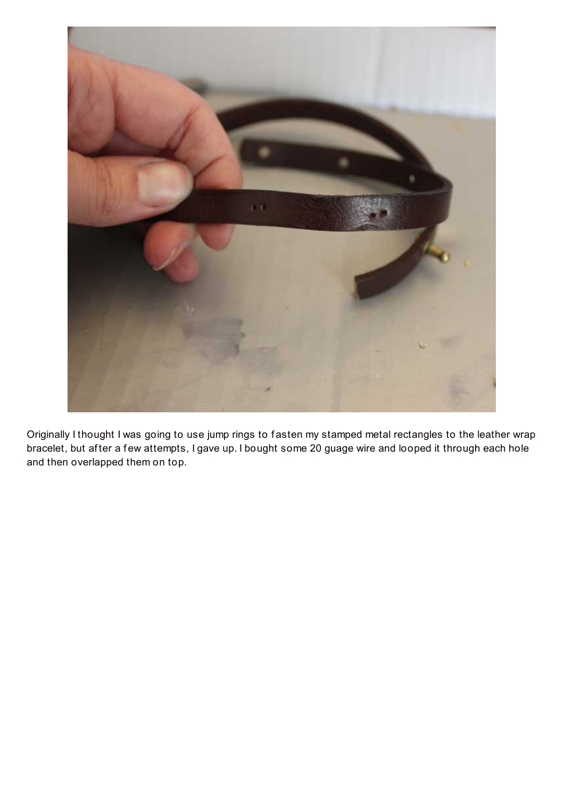

Originally I thought I was going to use jump rings to f asten my stamped metal rectangles to the leather wrap bracelet, but after a few attempts, I gave up. I bought some 20 guage wire and looped it through each hole and then overlapped them on top.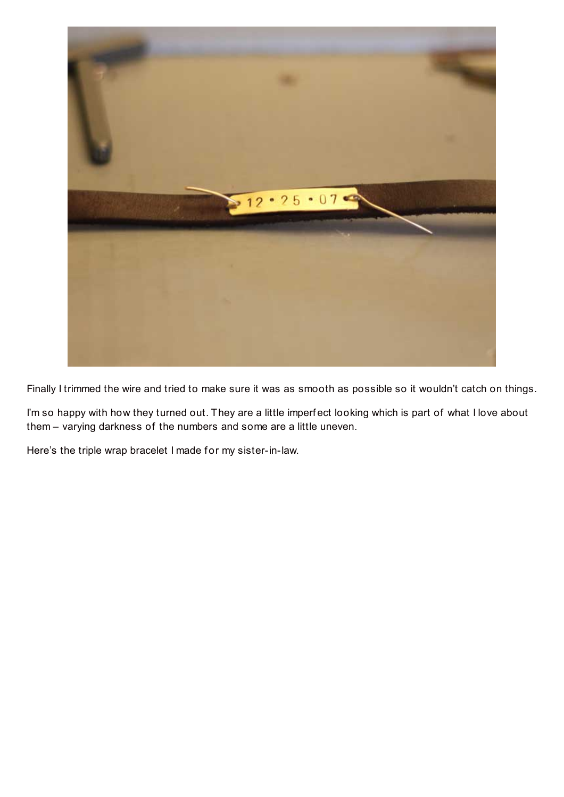

Finally I trimmed the wire and tried to make sure it was as smooth as possible so it wouldn't catch on things.

I'm so happy with how they turned out. They are a little imperfect looking which is part of what I love about them – varying darkness of the numbers and some are a little uneven.

Here's the triple wrap bracelet I made for my sister-in-law.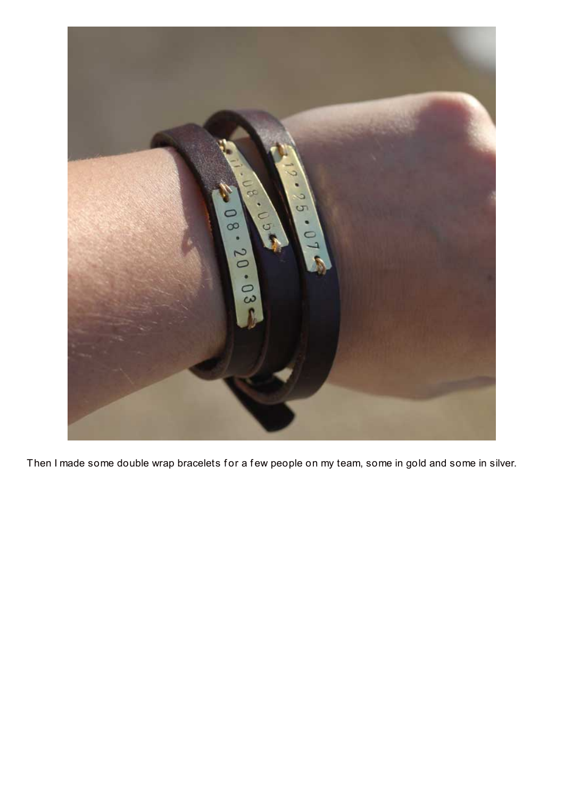

Then I made some double wrap bracelets for a few people on my team, some in gold and some in silver.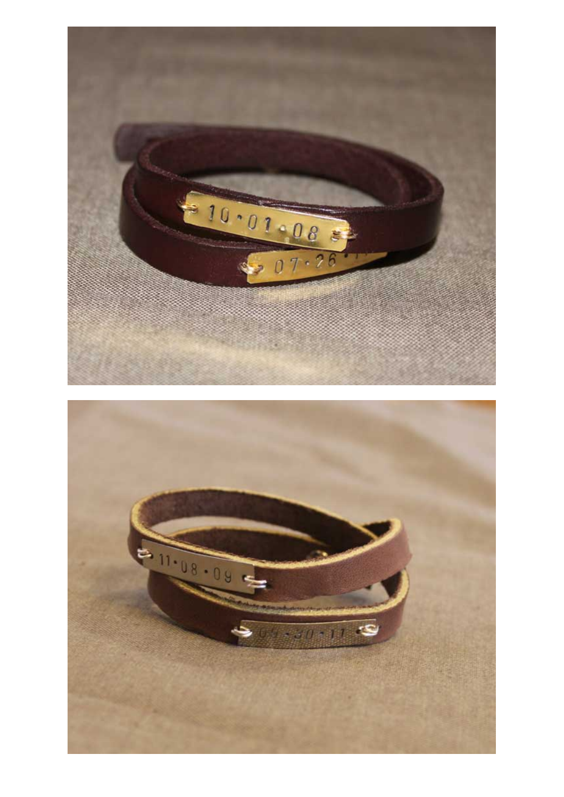